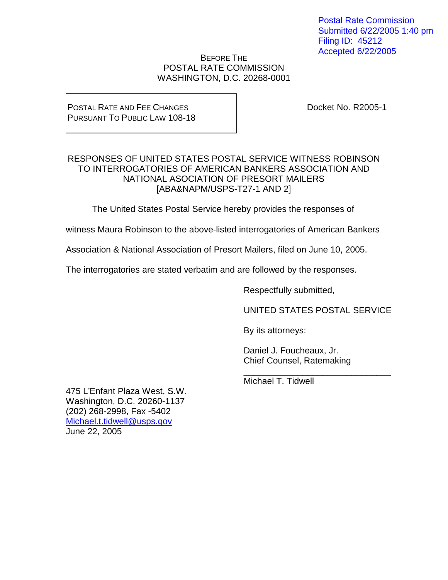Postal Rate Commission Submitted 6/22/2005 1:40 pm Filing ID: 45212 Accepted 6/22/2005

### BEFORE THE POSTAL RATE COMMISSION WASHINGTON, D.C. 20268-0001

### POSTAL RATE AND FEE CHANGES PURSUANT TO PUBLIC LAW 108-18

Docket No. R2005-1

## RESPONSES OF UNITED STATES POSTAL SERVICE WITNESS ROBINSON TO INTERROGATORIES OF AMERICAN BANKERS ASSOCIATION AND NATIONAL ASOCIATION OF PRESORT MAILERS [ABA&NAPM/USPS-T27-1 AND 2]

The United States Postal Service hereby provides the responses of

witness Maura Robinson to the above-listed interrogatories of American Bankers

Association & National Association of Presort Mailers, filed on June 10, 2005.

The interrogatories are stated verbatim and are followed by the responses.

Respectfully submitted,

UNITED STATES POSTAL SERVICE

\_\_\_\_\_\_\_\_\_\_\_\_\_\_\_\_\_\_\_\_\_\_\_\_\_\_\_\_\_\_

By its attorneys:

Daniel J. Foucheaux, Jr. Chief Counsel, Ratemaking

Michael T. Tidwell

475 L'Enfant Plaza West, S.W. Washington, D.C. 20260-1137 (202) 268-2998, Fax -5402 Michael.t.tidwell@usps.gov June 22, 2005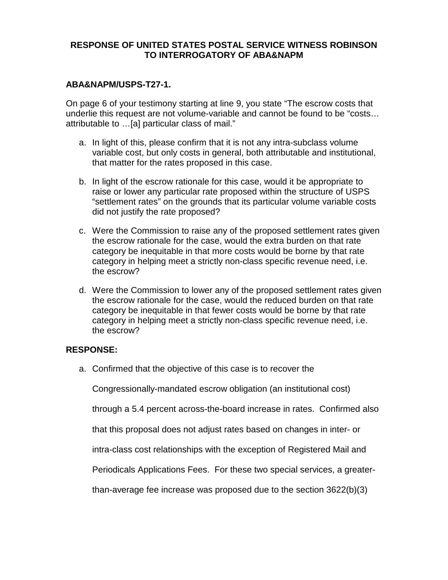### **ABA&NAPM/USPS-T27-1.**

On page 6 of your testimony starting at line 9, you state "The escrow costs that underlie this request are not volume-variable and cannot be found to be "costs… attributable to …[a] particular class of mail."

- a. In light of this, please confirm that it is not any intra-subclass volume variable cost, but only costs in general, both attributable and institutional, that matter for the rates proposed in this case.
- b. In light of the escrow rationale for this case, would it be appropriate to raise or lower any particular rate proposed within the structure of USPS "settlement rates" on the grounds that its particular volume variable costs did not justify the rate proposed?
- c. Were the Commission to raise any of the proposed settlement rates given the escrow rationale for the case, would the extra burden on that rate category be inequitable in that more costs would be borne by that rate category in helping meet a strictly non-class specific revenue need, i.e. the escrow?
- d. Were the Commission to lower any of the proposed settlement rates given the escrow rationale for the case, would the reduced burden on that rate category be inequitable in that fewer costs would be borne by that rate category in helping meet a strictly non-class specific revenue need, i.e. the escrow?

## **RESPONSE:**

a. Confirmed that the objective of this case is to recover the

Congressionally-mandated escrow obligation (an institutional cost)

through a 5.4 percent across-the-board increase in rates. Confirmed also

that this proposal does not adjust rates based on changes in inter- or

intra-class cost relationships with the exception of Registered Mail and

Periodicals Applications Fees. For these two special services, a greater-

than-average fee increase was proposed due to the section 3622(b)(3)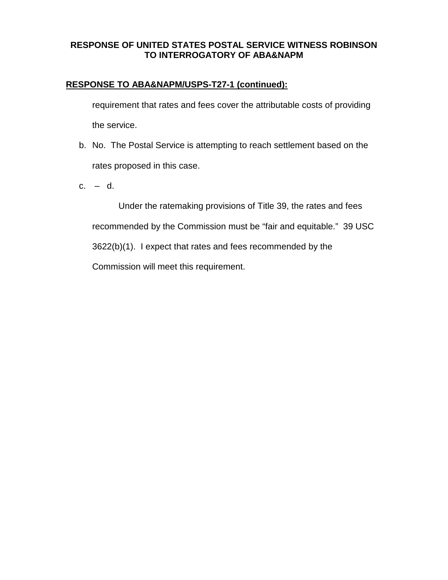# **RESPONSE TO ABA&NAPM/USPS-T27-1 (continued):**

requirement that rates and fees cover the attributable costs of providing the service.

- b. No. The Postal Service is attempting to reach settlement based on the rates proposed in this case.
- c. d.

Under the ratemaking provisions of Title 39, the rates and fees recommended by the Commission must be "fair and equitable." 39 USC 3622(b)(1). I expect that rates and fees recommended by the Commission will meet this requirement.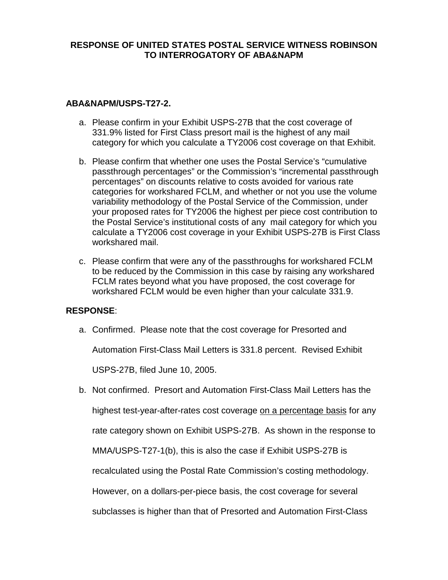## **ABA&NAPM/USPS-T27-2.**

- a. Please confirm in your Exhibit USPS-27B that the cost coverage of 331.9% listed for First Class presort mail is the highest of any mail category for which you calculate a TY2006 cost coverage on that Exhibit.
- b. Please confirm that whether one uses the Postal Service's "cumulative passthrough percentages" or the Commission's "incremental passthrough percentages" on discounts relative to costs avoided for various rate categories for workshared FCLM, and whether or not you use the volume variability methodology of the Postal Service of the Commission, under your proposed rates for TY2006 the highest per piece cost contribution to the Postal Service's institutional costs of any mail category for which you calculate a TY2006 cost coverage in your Exhibit USPS-27B is First Class workshared mail.
- c. Please confirm that were any of the passthroughs for workshared FCLM to be reduced by the Commission in this case by raising any workshared FCLM rates beyond what you have proposed, the cost coverage for workshared FCLM would be even higher than your calculate 331.9.

## **RESPONSE**:

a. Confirmed. Please note that the cost coverage for Presorted and

Automation First-Class Mail Letters is 331.8 percent. Revised Exhibit

USPS-27B, filed June 10, 2005.

b. Not confirmed. Presort and Automation First-Class Mail Letters has the highest test-year-after-rates cost coverage on a percentage basis for any rate category shown on Exhibit USPS-27B. As shown in the response to MMA/USPS-T27-1(b), this is also the case if Exhibit USPS-27B is recalculated using the Postal Rate Commission's costing methodology. However, on a dollars-per-piece basis, the cost coverage for several subclasses is higher than that of Presorted and Automation First-Class